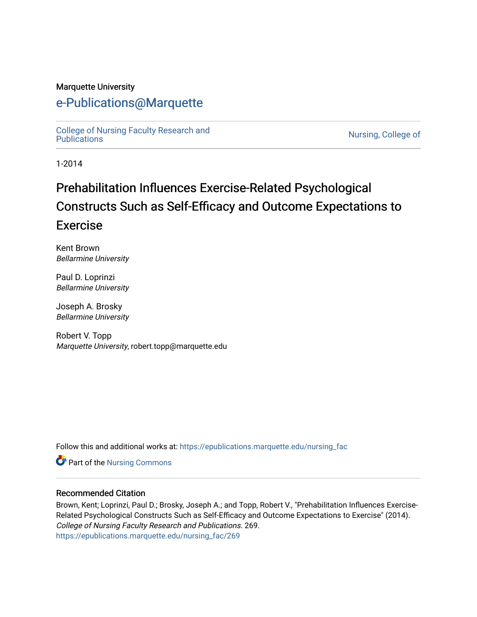#### Marquette University

## [e-Publications@Marquette](https://epublications.marquette.edu/)

[College of Nursing Faculty Research and](https://epublications.marquette.edu/nursing_fac)<br>Publications

Nursing, College of

1-2014

# Prehabilitation Influences Exercise-Related Psychological Constructs Such as Self-Efficacy and Outcome Expectations to Exercise

Kent Brown Bellarmine University

Paul D. Loprinzi Bellarmine University

Joseph A. Brosky Bellarmine University

Robert V. Topp Marquette University, robert.topp@marquette.edu

Follow this and additional works at: [https://epublications.marquette.edu/nursing\\_fac](https://epublications.marquette.edu/nursing_fac?utm_source=epublications.marquette.edu%2Fnursing_fac%2F269&utm_medium=PDF&utm_campaign=PDFCoverPages)

Part of the [Nursing Commons](http://network.bepress.com/hgg/discipline/718?utm_source=epublications.marquette.edu%2Fnursing_fac%2F269&utm_medium=PDF&utm_campaign=PDFCoverPages) 

#### Recommended Citation

Brown, Kent; Loprinzi, Paul D.; Brosky, Joseph A.; and Topp, Robert V., "Prehabilitation Influences Exercise-Related Psychological Constructs Such as Self-Efficacy and Outcome Expectations to Exercise" (2014). College of Nursing Faculty Research and Publications. 269. [https://epublications.marquette.edu/nursing\\_fac/269](https://epublications.marquette.edu/nursing_fac/269?utm_source=epublications.marquette.edu%2Fnursing_fac%2F269&utm_medium=PDF&utm_campaign=PDFCoverPages)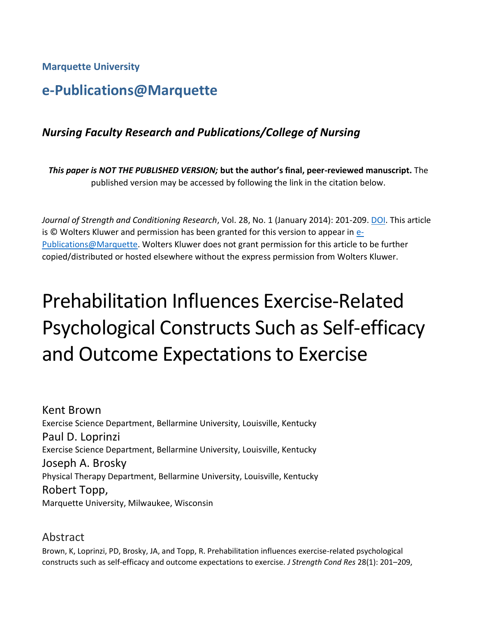**Marquette University**

## **e-Publications@Marquette**

## *Nursing Faculty Research and Publications/College of Nursing*

*This paper is NOT THE PUBLISHED VERSION;* **but the author's final, peer-reviewed manuscript.** The published version may be accessed by following the link in the citation below.

*Journal of Strength and Conditioning Research*, Vol. 28, No. 1 (January 2014): 201-209. [DOI.](https://doi.org/10.1519/JSC.0b013e318295614a) This article is © Wolters Kluwer and permission has been granted for this version to appear in [e-](http://epublications.marquette.edu/)[Publications@Marquette.](http://epublications.marquette.edu/) Wolters Kluwer does not grant permission for this article to be further copied/distributed or hosted elsewhere without the express permission from Wolters Kluwer.

# Prehabilitation Influences Exercise-Related Psychological Constructs Such as Self-efficacy and Outcome Expectations to Exercise

Kent Brown Exercise Science Department, Bellarmine University, Louisville, Kentucky Paul D. Loprinzi Exercise Science Department, Bellarmine University, Louisville, Kentucky Joseph A. Brosky Physical Therapy Department, Bellarmine University, Louisville, Kentucky Robert Topp, Marquette University, Milwaukee, Wisconsin

## Abstract

Brown, K, Loprinzi, PD, Brosky, JA, and Topp, R. Prehabilitation influences exercise-related psychological constructs such as self-efficacy and outcome expectations to exercise. *J Strength Cond Res* 28(1): 201–209,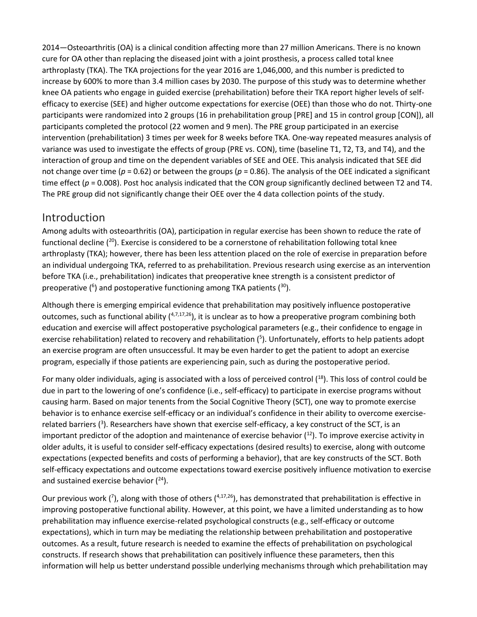2014—Osteoarthritis (OA) is a clinical condition affecting more than 27 million Americans. There is no known cure for OA other than replacing the diseased joint with a joint prosthesis, a process called total knee arthroplasty (TKA). The TKA projections for the year 2016 are 1,046,000, and this number is predicted to increase by 600% to more than 3.4 million cases by 2030. The purpose of this study was to determine whether knee OA patients who engage in guided exercise (prehabilitation) before their TKA report higher levels of selfefficacy to exercise (SEE) and higher outcome expectations for exercise (OEE) than those who do not. Thirty-one participants were randomized into 2 groups (16 in prehabilitation group [PRE] and 15 in control group [CON]), all participants completed the protocol (22 women and 9 men). The PRE group participated in an exercise intervention (prehabilitation) 3 times per week for 8 weeks before TKA. One-way repeated measures analysis of variance was used to investigate the effects of group (PRE vs. CON), time (baseline T1, T2, T3, and T4), and the interaction of group and time on the dependent variables of SEE and OEE. This analysis indicated that SEE did not change over time (*p* = 0.62) or between the groups (*p* = 0.86). The analysis of the OEE indicated a significant time effect ( $p = 0.008$ ). Post hoc analysis indicated that the CON group significantly declined between T2 and T4. The PRE group did not significantly change their OEE over the 4 data collection points of the study.

## Introduction

Among adults with osteoarthritis (OA), participation in regular exercise has been shown to reduce the rate of functional decline  $(20)$ . Exercise is considered to be a cornerstone of rehabilitation following total knee arthroplasty (TKA); however, there has been less attention placed on the role of exercise in preparation before an individual undergoing TKA, referred to as prehabilitation. Previous research using exercise as an intervention before TKA (i.e., prehabilitation) indicates that preoperative knee strength is a consistent predictor of preoperative ( $6$ ) and postoperative functioning among TKA patients ( $30$ ).

Although there is emerging empirical evidence that prehabilitation may positively influence postoperative outcomes, such as functional ability  $(4,7,17,26)$ , it is unclear as to how a preoperative program combining both education and exercise will affect postoperative psychological parameters (e.g., their confidence to engage in exercise rehabilitation) related to recovery and rehabilitation (<sup>5</sup>). Unfortunately, efforts to help patients adopt an exercise program are often unsuccessful. It may be even harder to get the patient to adopt an exercise program, especially if those patients are experiencing pain, such as during the postoperative period.

For many older individuals, aging is associated with a loss of perceived control  $(18)$ . This loss of control could be due in part to the lowering of one's confidence (i.e., self-efficacy) to participate in exercise programs without causing harm. Based on major tenents from the Social Cognitive Theory (SCT), one way to promote exercise behavior is to enhance exercise self-efficacy or an individual's confidence in their ability to overcome exerciserelated barriers (<sup>3</sup>). Researchers have shown that exercise self-efficacy, a key construct of the SCT, is an important predictor of the adoption and maintenance of exercise behavior  $(12)$ . To improve exercise activity in older adults, it is useful to consider self-efficacy expectations (desired results) to exercise, along with outcome expectations (expected benefits and costs of performing a behavior), that are key constructs of the SCT. Both self-efficacy expectations and outcome expectations toward exercise positively influence motivation to exercise and sustained exercise behavior  $(^{24})$ .

Our previous work ( $\bar{'}$ ), along with those of others ( $4,17,26$ ), has demonstrated that prehabilitation is effective in improving postoperative functional ability. However, at this point, we have a limited understanding as to how prehabilitation may influence exercise-related psychological constructs (e.g., self-efficacy or outcome expectations), which in turn may be mediating the relationship between prehabilitation and postoperative outcomes. As a result, future research is needed to examine the effects of prehabilitation on psychological constructs. If research shows that prehabilitation can positively influence these parameters, then this information will help us better understand possible underlying mechanisms through which prehabilitation may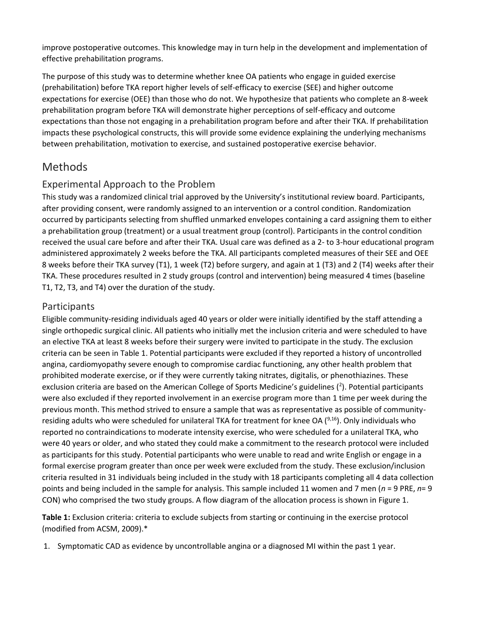improve postoperative outcomes. This knowledge may in turn help in the development and implementation of effective prehabilitation programs.

The purpose of this study was to determine whether knee OA patients who engage in guided exercise (prehabilitation) before TKA report higher levels of self-efficacy to exercise (SEE) and higher outcome expectations for exercise (OEE) than those who do not. We hypothesize that patients who complete an 8-week prehabilitation program before TKA will demonstrate higher perceptions of self-efficacy and outcome expectations than those not engaging in a prehabilitation program before and after their TKA. If prehabilitation impacts these psychological constructs, this will provide some evidence explaining the underlying mechanisms between prehabilitation, motivation to exercise, and sustained postoperative exercise behavior.

## Methods

#### Experimental Approach to the Problem

This study was a randomized clinical trial approved by the University's institutional review board. Participants, after providing consent, were randomly assigned to an intervention or a control condition. Randomization occurred by participants selecting from shuffled unmarked envelopes containing a card assigning them to either a prehabilitation group (treatment) or a usual treatment group (control). Participants in the control condition received the usual care before and after their TKA. Usual care was defined as a 2- to 3-hour educational program administered approximately 2 weeks before the TKA. All participants completed measures of their SEE and OEE 8 weeks before their TKA survey (T1), 1 week (T2) before surgery, and again at 1 (T3) and 2 (T4) weeks after their TKA. These procedures resulted in 2 study groups (control and intervention) being measured 4 times (baseline T1, T2, T3, and T4) over the duration of the study.

#### Participants

Eligible community-residing individuals aged 40 years or older were initially identified by the staff attending a single orthopedic surgical clinic. All patients who initially met the inclusion criteria and were scheduled to have an elective TKA at least 8 weeks before their surgery were invited to participate in the study. The exclusion criteria can be seen in Table 1. Potential participants were excluded if they reported a history of uncontrolled angina, cardiomyopathy severe enough to compromise cardiac functioning, any other health problem that prohibited moderate exercise, or if they were currently taking nitrates, digitalis, or phenothiazines. These exclusion criteria are based on the American College of Sports Medicine's guidelines ( $^2$ ). Potential participants were also excluded if they reported involvement in an exercise program more than 1 time per week during the previous month. This method strived to ensure a sample that was as representative as possible of communityresiding adults who were scheduled for unilateral TKA for treatment for knee OA  $(^{9,16})$ . Only individuals who reported no contraindications to moderate intensity exercise, who were scheduled for a unilateral TKA, who were 40 years or older, and who stated they could make a commitment to the research protocol were included as participants for this study. Potential participants who were unable to read and write English or engage in a formal exercise program greater than once per week were excluded from the study. These exclusion/inclusion criteria resulted in 31 individuals being included in the study with 18 participants completing all 4 data collection points and being included in the sample for analysis. This sample included 11 women and 7 men (*n* = 9 PRE, *n*= 9 CON) who comprised the two study groups. A flow diagram of the allocation process is shown in Figure 1.

**Table 1:** Exclusion criteria: criteria to exclude subjects from starting or continuing in the exercise protocol (modified from ACSM, 2009).\*

1. Symptomatic CAD as evidence by uncontrollable angina or a diagnosed MI within the past 1 year.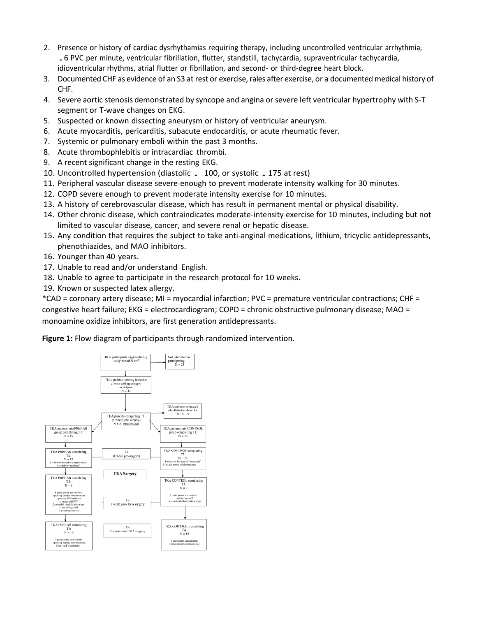- 2. Presence or history of cardiac dysrhythamias requiring therapy, including uncontrolled ventricular arrhythmia,<br>5 PVC per minute, ventricular fibrillation, flutter, standstill, tachycardia, supraventricular tachycardia, idioventricular rhythms, atrial flutter or fibrillation, and second- or third-degree heart block.
- 3. Documented CHF as evidence of an S3 at rest or exercise, rales after exercise, or a documented medical history of CHF.
- 4. Severe aortic stenosis demonstrated by syncope and angina orsevere left ventricular hypertrophy with S-T segment or T-wave changes on EKG.
- 5. Suspected or known dissecting aneurysm or history of ventricular aneurysm.
- 6. Acute myocarditis, pericarditis, subacute endocarditis, or acute rheumatic fever.
- 7. Systemic or pulmonary emboli within the past 3 months.
- 8. Acute thrombophlebitis or intracardiac thrombi.
- 9. A recent significant change in the resting EKG.
- 10. Uncontrolled hypertension (diastolic . 100, or systolic .175 at rest)
- 11. Peripheral vascular disease severe enough to prevent moderate intensity walking for 30 minutes.
- 12. COPD severe enough to prevent moderate intensity exercise for 10 minutes.
- 13. A history of cerebrovascular disease, which has result in permanent mental or physical disability.
- 14. Other chronic disease, which contraindicates moderate-intensity exercise for 10 minutes, including but not limited to vascular disease, cancer, and severe renal or hepatic disease.
- 15. Any condition that requires the subject to take anti-anginal medications, lithium, tricyclic antidepressants, phenothiazides, and MAO inhibitors.
- 16. Younger than 40 years.
- 17. Unable to read and/or understand English.
- 18. Unable to agree to participate in the research protocol for 10 weeks.
- 19. Known or suspected latex allergy.

\*CAD = coronary artery disease; MI = myocardial infarction; PVC = premature ventricular contractions; CHF = congestive heart failure; EKG = electrocardiogram; COPD = chronic obstructive pulmonary disease; MAO = monoamine oxidize inhibitors, are first generation antidepressants.

**Figure 1:** Flow diagram of participants through randomized intervention.

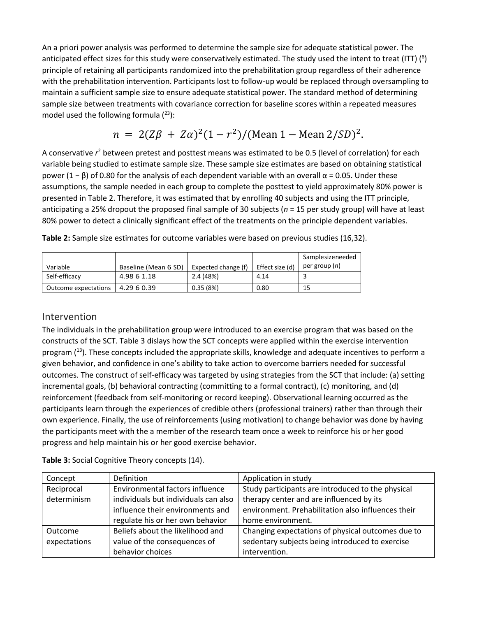An a priori power analysis was performed to determine the sample size for adequate statistical power. The anticipated effect sizes for this study were conservatively estimated. The study used the intent to treat (ITT)  $(^8)$ principle of retaining all participants randomized into the prehabilitation group regardless of their adherence with the prehabilitation intervention. Participants lost to follow-up would be replaced through oversampling to maintain a sufficient sample size to ensure adequate statistical power. The standard method of determining sample size between treatments with covariance correction for baseline scores within a repeated measures model used the following formula  $(^{23})$ :

$$
n = 2(Z\beta + Z\alpha)^{2}(1 - r^{2})/(\text{Mean } 1 - \text{Mean } 2/SD)^{2}.
$$

A conservative  $r^2$  between pretest and posttest means was estimated to be 0.5 (level of correlation) for each variable being studied to estimate sample size. These sample size estimates are based on obtaining statistical power (1 – β) of 0.80 for the analysis of each dependent variable with an overall  $\alpha$  = 0.05. Under these assumptions, the sample needed in each group to complete the posttest to yield approximately 80% power is presented in Table 2. Therefore, it was estimated that by enrolling 40 subjects and using the ITT principle, anticipating a 25% dropout the proposed final sample of 30 subjects (*n* = 15 per study group) will have at least 80% power to detect a clinically significant effect of the treatments on the principle dependent variables.

|                      |                      |                     |                 | Samplesizeneeded       |
|----------------------|----------------------|---------------------|-----------------|------------------------|
| Variable             | Baseline (Mean 6 SD) | Expected change (f) | Effect size (d) | per group ( <i>n</i> ) |
| Self-efficacy        | 4.98 6 1.18          | 2.4 (48%)           | 4.14            |                        |
| Outcome expectations | 4.29 6 0.39          | 0.35(8%)            | 0.80            | 15                     |

**Table 2:** Sample size estimates for outcome variables were based on previous studies (16,32).

#### Intervention

The individuals in the prehabilitation group were introduced to an exercise program that was based on the constructs of the SCT. Table 3 dislays how the SCT concepts were applied within the exercise intervention program  $(13)$ . These concepts included the appropriate skills, knowledge and adequate incentives to perform a given behavior, and confidence in one's ability to take action to overcome barriers needed for successful outcomes. The construct of self-efficacy was targeted by using strategies from the SCT that include: (a) setting incremental goals, (b) behavioral contracting (committing to a formal contract), (c) monitoring, and (d) reinforcement (feedback from self-monitoring or record keeping). Observational learning occurred as the participants learn through the experiences of credible others (professional trainers) rather than through their own experience. Finally, the use of reinforcements (using motivation) to change behavior was done by having the participants meet with the a member of the research team once a week to reinforce his or her good progress and help maintain his or her good exercise behavior.

| Concept      | Definition                           | Application in study                               |  |  |
|--------------|--------------------------------------|----------------------------------------------------|--|--|
| Reciprocal   | Environmental factors influence      | Study participants are introduced to the physical  |  |  |
| determinism  | individuals but individuals can also | therapy center and are influenced by its           |  |  |
|              | influence their environments and     | environment. Prehabilitation also influences their |  |  |
|              | regulate his or her own behavior     | home environment.                                  |  |  |
| Outcome      | Beliefs about the likelihood and     | Changing expectations of physical outcomes due to  |  |  |
| expectations | value of the consequences of         | sedentary subjects being introduced to exercise    |  |  |
|              | behavior choices                     | intervention.                                      |  |  |

**Table 3:** Social Cognitive Theory concepts (14).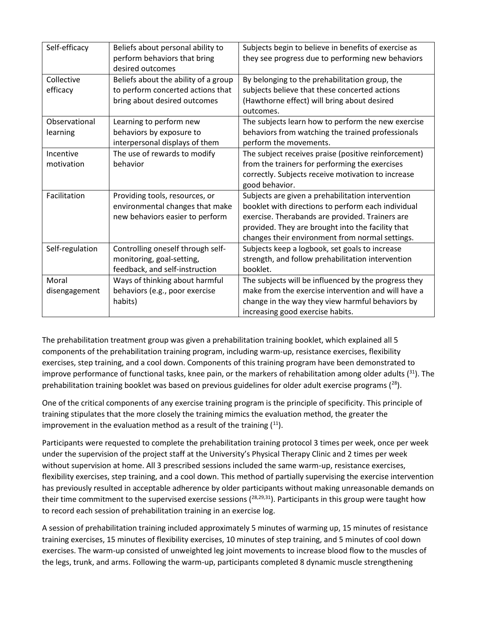| Self-efficacy   | Beliefs about personal ability to    | Subjects begin to believe in benefits of exercise as |  |  |  |
|-----------------|--------------------------------------|------------------------------------------------------|--|--|--|
|                 | perform behaviors that bring         | they see progress due to performing new behaviors    |  |  |  |
|                 | desired outcomes                     |                                                      |  |  |  |
| Collective      | Beliefs about the ability of a group | By belonging to the prehabilitation group, the       |  |  |  |
| efficacy        | to perform concerted actions that    | subjects believe that these concerted actions        |  |  |  |
|                 | bring about desired outcomes         | (Hawthorne effect) will bring about desired          |  |  |  |
|                 |                                      | outcomes.                                            |  |  |  |
| Observational   | Learning to perform new              | The subjects learn how to perform the new exercise   |  |  |  |
| learning        | behaviors by exposure to             | behaviors from watching the trained professionals    |  |  |  |
|                 | interpersonal displays of them       | perform the movements.                               |  |  |  |
| Incentive       | The use of rewards to modify         | The subject receives praise (positive reinforcement) |  |  |  |
| motivation      | behavior                             | from the trainers for performing the exercises       |  |  |  |
|                 |                                      | correctly. Subjects receive motivation to increase   |  |  |  |
|                 |                                      | good behavior.                                       |  |  |  |
| Facilitation    | Providing tools, resources, or       | Subjects are given a prehabilitation intervention    |  |  |  |
|                 | environmental changes that make      | booklet with directions to perform each individual   |  |  |  |
|                 | new behaviors easier to perform      | exercise. Therabands are provided. Trainers are      |  |  |  |
|                 |                                      | provided. They are brought into the facility that    |  |  |  |
|                 |                                      | changes their environment from normal settings.      |  |  |  |
| Self-regulation | Controlling oneself through self-    | Subjects keep a logbook, set goals to increase       |  |  |  |
|                 | monitoring, goal-setting,            | strength, and follow prehabilitation intervention    |  |  |  |
|                 | feedback, and self-instruction       | booklet.                                             |  |  |  |
| Moral           | Ways of thinking about harmful       | The subjects will be influenced by the progress they |  |  |  |
| disengagement   | behaviors (e.g., poor exercise       | make from the exercise intervention and will have a  |  |  |  |
|                 | habits)                              | change in the way they view harmful behaviors by     |  |  |  |
|                 |                                      | increasing good exercise habits.                     |  |  |  |

The prehabilitation treatment group was given a prehabilitation training booklet, which explained all 5 components of the prehabilitation training program, including warm-up, resistance exercises, flexibility exercises, step training, and a cool down. Components of this training program have been demonstrated to improve performance of functional tasks, knee pain, or the markers of rehabilitation among older adults  $(31)$ . The prehabilitation training booklet was based on previous guidelines for older adult exercise programs  $(^{28})$ .

One of the critical components of any exercise training program is the principle of specificity. This principle of training stipulates that the more closely the training mimics the evaluation method, the greater the improvement in the evaluation method as a result of the training  $(11)$ .

Participants were requested to complete the prehabilitation training protocol 3 times per week, once per week under the supervision of the project staff at the University's Physical Therapy Clinic and 2 times per week without supervision at home. All 3 prescribed sessions included the same warm-up, resistance exercises, flexibility exercises, step training, and a cool down. This method of partially supervising the exercise intervention has previously resulted in acceptable adherence by older participants without making unreasonable demands on their time commitment to the supervised exercise sessions  $(^{28,29,31})$ . Participants in this group were taught how to record each session of prehabilitation training in an exercise log.

A session of prehabilitation training included approximately 5 minutes of warming up, 15 minutes of resistance training exercises, 15 minutes of flexibility exercises, 10 minutes of step training, and 5 minutes of cool down exercises. The warm-up consisted of unweighted leg joint movements to increase blood flow to the muscles of the legs, trunk, and arms. Following the warm-up, participants completed 8 dynamic muscle strengthening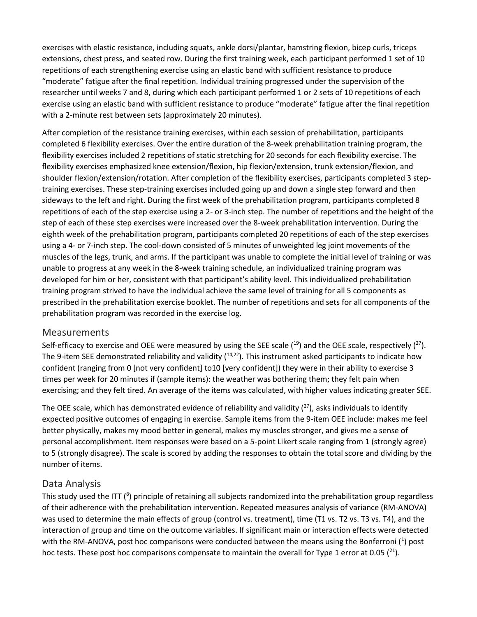exercises with elastic resistance, including squats, ankle dorsi/plantar, hamstring flexion, bicep curls, triceps extensions, chest press, and seated row. During the first training week, each participant performed 1 set of 10 repetitions of each strengthening exercise using an elastic band with sufficient resistance to produce "moderate" fatigue after the final repetition. Individual training progressed under the supervision of the researcher until weeks 7 and 8, during which each participant performed 1 or 2 sets of 10 repetitions of each exercise using an elastic band with sufficient resistance to produce "moderate" fatigue after the final repetition with a 2-minute rest between sets (approximately 20 minutes).

After completion of the resistance training exercises, within each session of prehabilitation, participants completed 6 flexibility exercises. Over the entire duration of the 8-week prehabilitation training program, the flexibility exercises included 2 repetitions of static stretching for 20 seconds for each flexibility exercise. The flexibility exercises emphasized knee extension/flexion, hip flexion/extension, trunk extension/flexion, and shoulder flexion/extension/rotation. After completion of the flexibility exercises, participants completed 3 steptraining exercises. These step-training exercises included going up and down a single step forward and then sideways to the left and right. During the first week of the prehabilitation program, participants completed 8 repetitions of each of the step exercise using a 2- or 3-inch step. The number of repetitions and the height of the step of each of these step exercises were increased over the 8-week prehabilitation intervention. During the eighth week of the prehabilitation program, participants completed 20 repetitions of each of the step exercises using a 4- or 7-inch step. The cool-down consisted of 5 minutes of unweighted leg joint movements of the muscles of the legs, trunk, and arms. If the participant was unable to complete the initial level of training or was unable to progress at any week in the 8-week training schedule, an individualized training program was developed for him or her, consistent with that participant's ability level. This individualized prehabilitation training program strived to have the individual achieve the same level of training for all 5 components as prescribed in the prehabilitation exercise booklet. The number of repetitions and sets for all components of the prehabilitation program was recorded in the exercise log.

#### Measurements

Self-efficacy to exercise and OEE were measured by using the SEE scale  $(19)$  and the OEE scale, respectively  $(27)$ . The 9-item SEE demonstrated reliability and validity  $(14,22)$ . This instrument asked participants to indicate how confident (ranging from 0 [not very confident] to10 [very confident]) they were in their ability to exercise 3 times per week for 20 minutes if (sample items): the weather was bothering them; they felt pain when exercising; and they felt tired. An average of the items was calculated, with higher values indicating greater SEE.

The OEE scale, which has demonstrated evidence of reliability and validity  $(^{27})$ , asks individuals to identify expected positive outcomes of engaging in exercise. Sample items from the 9-item OEE include: makes me feel better physically, makes my mood better in general, makes my muscles stronger, and gives me a sense of personal accomplishment. Item responses were based on a 5-point Likert scale ranging from 1 (strongly agree) to 5 (strongly disagree). The scale is scored by adding the responses to obtain the total score and dividing by the number of items.

#### Data Analysis

This study used the ITT (<sup>8</sup>) principle of retaining all subjects randomized into the prehabilitation group regardless of their adherence with the prehabilitation intervention. Repeated measures analysis of variance (RM-ANOVA) was used to determine the main effects of group (control vs. treatment), time (T1 vs. T2 vs. T3 vs. T4), and the interaction of group and time on the outcome variables. If significant main or interaction effects were detected with the RM-ANOVA, post hoc comparisons were conducted between the means using the Bonferroni (<sup>1</sup>) post hoc tests. These post hoc comparisons compensate to maintain the overall for Type 1 error at 0.05  $(^{21})$ .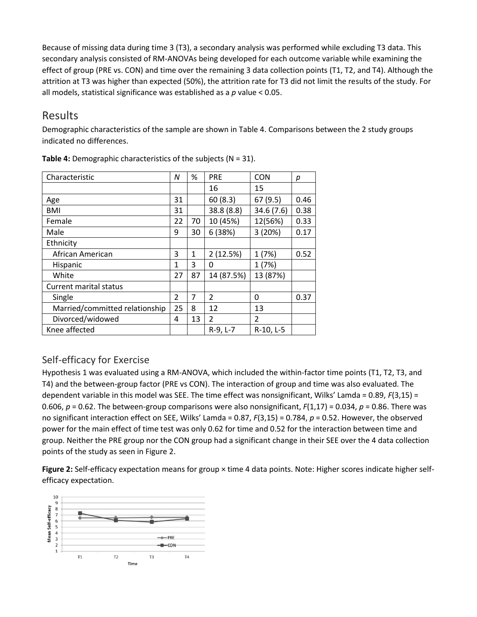Because of missing data during time 3 (T3), a secondary analysis was performed while excluding T3 data. This secondary analysis consisted of RM-ANOVAs being developed for each outcome variable while examining the effect of group (PRE vs. CON) and time over the remaining 3 data collection points (T1, T2, and T4). Although the attrition at T3 was higher than expected (50%), the attrition rate for T3 did not limit the results of the study. For all models, statistical significance was established as a *p* value < 0.05.

## Results

Demographic characteristics of the sample are shown in Table 4. Comparisons between the 2 study groups indicated no differences.

| Characteristic                 | N | %  | <b>PRE</b>               | <b>CON</b>     | р    |
|--------------------------------|---|----|--------------------------|----------------|------|
|                                |   |    | 16                       | 15             |      |
| Age                            |   |    | 60(8.3)                  | 67(9.5)        | 0.46 |
| <b>BMI</b>                     |   |    | 38.8 (8.8)               | 34.6 (7.6)     | 0.38 |
| Female                         |   | 70 | 10 (45%)                 | 12(56%)        | 0.33 |
| Male                           |   | 30 | 6 (38%)                  | 3(20%)         | 0.17 |
| Ethnicity                      |   |    |                          |                |      |
| African American               |   | 1  | 2(12.5%)                 | 1(7%)          | 0.52 |
| Hispanic                       |   | 3  | 0                        | 1(7%)          |      |
| White                          |   | 87 | 14 (87.5%)               | 13 (87%)       |      |
| Current marital status         |   |    |                          |                |      |
| Single                         |   | 7  | $\overline{\mathcal{L}}$ | 0              | 0.37 |
| Married/committed relationship |   | 8  | 12                       | 13             |      |
| Divorced/widowed               |   | 13 | $\overline{2}$           | $\mathfrak{p}$ |      |
| Knee affected                  |   |    | R-9, L-7                 | R-10, L-5      |      |

**Table 4:** Demographic characteristics of the subjects (N = 31).

## Self-efficacy for Exercise

Hypothesis 1 was evaluated using a RM-ANOVA, which included the within-factor time points (T1, T2, T3, and T4) and the between-group factor (PRE vs CON). The interaction of group and time was also evaluated. The dependent variable in this model was SEE. The time effect was nonsignificant, Wilks' Lamda = 0.89, *F*(3,15) = 0.606, *p* = 0.62. The between-group comparisons were also nonsignificant, *F*(1,17) = 0.034, *p* = 0.86. There was no significant interaction effect on SEE, Wilks' Lamda = 0.87, *F*(3,15) = 0.784, *p* = 0.52. However, the observed power for the main effect of time test was only 0.62 for time and 0.52 for the interaction between time and group. Neither the PRE group nor the CON group had a significant change in their SEE over the 4 data collection points of the study as seen in Figure 2.

**Figure 2:** Self-efficacy expectation means for group × time 4 data points. Note: Higher scores indicate higher selfefficacy expectation.

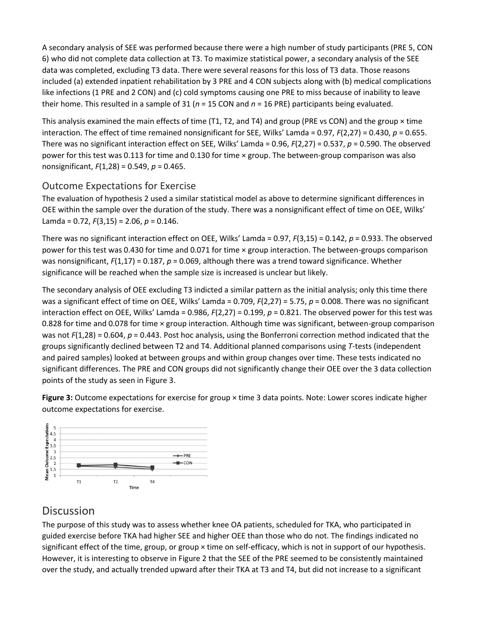A secondary analysis of SEE was performed because there were a high number of study participants (PRE 5, CON 6) who did not complete data collection at T3. To maximize statistical power, a secondary analysis of the SEE data was completed, excluding T3 data. There were several reasons for this loss of T3 data. Those reasons included (a) extended inpatient rehabilitation by 3 PRE and 4 CON subjects along with (b) medical complications like infections (1 PRE and 2 CON) and (c) cold symptoms causing one PRE to miss because of inability to leave their home. This resulted in a sample of 31 (*n* = 15 CON and *n* = 16 PRE) participants being evaluated.

This analysis examined the main effects of time (T1, T2, and T4) and group (PRE vs CON) and the group  $\times$  time interaction. The effect of time remained nonsignificant for SEE, Wilks' Lamda = 0.97, *F*(2,27) = 0.430, *p* = 0.655. There was no significant interaction effect on SEE, Wilks' Lamda = 0.96, *F*(2,27) = 0.537, *p* = 0.590. The observed power for this test was 0.113 for time and 0.130 for time × group. The between-group comparison was also nonsignificant, *F*(1,28) = 0.549, *p* = 0.465.

#### Outcome Expectations for Exercise

The evaluation of hypothesis 2 used a similar statistical model as above to determine significant differences in OEE within the sample over the duration of the study. There was a nonsignificant effect of time on OEE, Wilks' Lamda = 0.72, *F*(3,15) = 2.06, *p* = 0.146.

There was no significant interaction effect on OEE, Wilks' Lamda = 0.97, *F*(3,15) = 0.142, *p* = 0.933. The observed power for this test was 0.430 for time and 0.071 for time × group interaction. The between-groups comparison was nonsignificant,  $F(1,17) = 0.187$ ,  $p = 0.069$ , although there was a trend toward significance. Whether significance will be reached when the sample size is increased is unclear but likely.

The secondary analysis of OEE excluding T3 indicted a similar pattern as the initial analysis; only this time there was a significant effect of time on OEE, Wilks' Lamda = 0.709, *F*(2,27) = 5.75, *p* = 0.008. There was no significant interaction effect on OEE, Wilks' Lamda = 0.986, *F*(2,27) = 0.199, *p* = 0.821. The observed power for this test was 0.828 for time and 0.078 for time × group interaction. Although time was significant, between-group comparison was not *F*(1,28) = 0.604, *p* = 0.443. Post hoc analysis, using the Bonferroni correction method indicated that the groups significantly declined between T2 and T4. Additional planned comparisons using *T*-tests (independent and paired samples) looked at between groups and within group changes over time. These tests indicated no significant differences. The PRE and CON groups did not significantly change their OEE over the 3 data collection points of the study as seen in Figure 3.

**Figure 3:** Outcome expectations for exercise for group × time 3 data points. Note: Lower scores indicate higher outcome expectations for exercise.



## **Discussion**

The purpose of this study was to assess whether knee OA patients, scheduled for TKA, who participated in guided exercise before TKA had higher SEE and higher OEE than those who do not. The findings indicated no significant effect of the time, group, or group  $\times$  time on self-efficacy, which is not in support of our hypothesis. However, it is interesting to observe in Figure 2 that the SEE of the PRE seemed to be consistently maintained over the study, and actually trended upward after their TKA at T3 and T4, but did not increase to a significant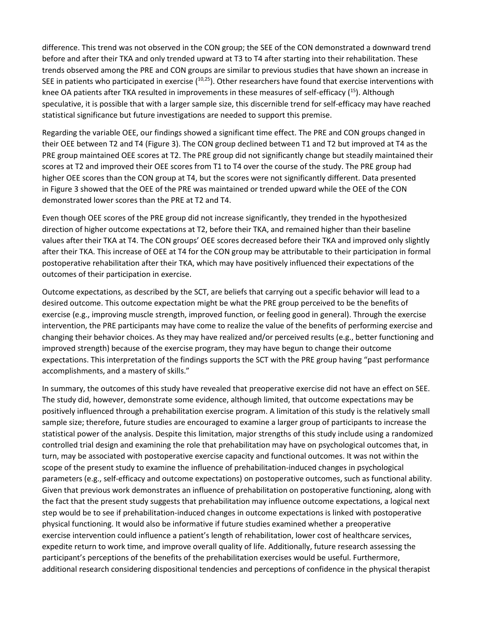difference. This trend was not observed in the CON group; the SEE of the CON demonstrated a downward trend before and after their TKA and only trended upward at T3 to T4 after starting into their rehabilitation. These trends observed among the PRE and CON groups are similar to previous studies that have shown an increase in SEE in patients who participated in exercise  $(10,25)$ . Other researchers have found that exercise interventions with knee OA patients after TKA resulted in improvements in these measures of self-efficacy (<sup>15</sup>). Although speculative, it is possible that with a larger sample size, this discernible trend for self-efficacy may have reached statistical significance but future investigations are needed to support this premise.

Regarding the variable OEE, our findings showed a significant time effect. The PRE and CON groups changed in their OEE between T2 and T4 (Figure 3). The CON group declined between T1 and T2 but improved at T4 as the PRE group maintained OEE scores at T2. The PRE group did not significantly change but steadily maintained their scores at T2 and improved their OEE scores from T1 to T4 over the course of the study. The PRE group had higher OEE scores than the CON group at T4, but the scores were not significantly different. Data presented in Figure 3 showed that the OEE of the PRE was maintained or trended upward while the OEE of the CON demonstrated lower scores than the PRE at T2 and T4.

Even though OEE scores of the PRE group did not increase significantly, they trended in the hypothesized direction of higher outcome expectations at T2, before their TKA, and remained higher than their baseline values after their TKA at T4. The CON groups' OEE scores decreased before their TKA and improved only slightly after their TKA. This increase of OEE at T4 for the CON group may be attributable to their participation in formal postoperative rehabilitation after their TKA, which may have positively influenced their expectations of the outcomes of their participation in exercise.

Outcome expectations, as described by the SCT, are beliefs that carrying out a specific behavior will lead to a desired outcome. This outcome expectation might be what the PRE group perceived to be the benefits of exercise (e.g., improving muscle strength, improved function, or feeling good in general). Through the exercise intervention, the PRE participants may have come to realize the value of the benefits of performing exercise and changing their behavior choices. As they may have realized and/or perceived results (e.g., better functioning and improved strength) because of the exercise program, they may have begun to change their outcome expectations. This interpretation of the findings supports the SCT with the PRE group having "past performance accomplishments, and a mastery of skills."

In summary, the outcomes of this study have revealed that preoperative exercise did not have an effect on SEE. The study did, however, demonstrate some evidence, although limited, that outcome expectations may be positively influenced through a prehabilitation exercise program. A limitation of this study is the relatively small sample size; therefore, future studies are encouraged to examine a larger group of participants to increase the statistical power of the analysis. Despite this limitation, major strengths of this study include using a randomized controlled trial design and examining the role that prehabilitation may have on psychological outcomes that, in turn, may be associated with postoperative exercise capacity and functional outcomes. It was not within the scope of the present study to examine the influence of prehabilitation-induced changes in psychological parameters (e.g., self-efficacy and outcome expectations) on postoperative outcomes, such as functional ability. Given that previous work demonstrates an influence of prehabilitation on postoperative functioning, along with the fact that the present study suggests that prehabilitation may influence outcome expectations, a logical next step would be to see if prehabilitation-induced changes in outcome expectations is linked with postoperative physical functioning. It would also be informative if future studies examined whether a preoperative exercise intervention could influence a patient's length of rehabilitation, lower cost of healthcare services, expedite return to work time, and improve overall quality of life. Additionally, future research assessing the participant's perceptions of the benefits of the prehabilitation exercises would be useful. Furthermore, additional research considering dispositional tendencies and perceptions of confidence in the physical therapist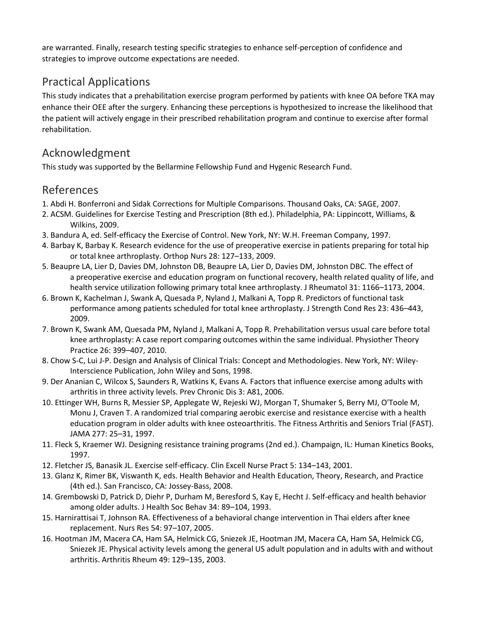are warranted. Finally, research testing specific strategies to enhance self-perception of confidence and strategies to improve outcome expectations are needed.

## Practical Applications

This study indicates that a prehabilitation exercise program performed by patients with knee OA before TKA may enhance their OEE after the surgery. Enhancing these perceptions is hypothesized to increase the likelihood that the patient will actively engage in their prescribed rehabilitation program and continue to exercise after formal rehabilitation.

## Acknowledgment

This study was supported by the Bellarmine Fellowship Fund and Hygenic Research Fund.

## References

- 1. Abdi H. Bonferroni and Sidak Corrections for Multiple Comparisons. Thousand Oaks, CA: SAGE, 2007.
- 2. ACSM. Guidelines for Exercise Testing and Prescription (8th ed.). Philadelphia, PA: Lippincott, Williams, & Wilkins, 2009.
- 3. Bandura A, ed. Self-efficacy the Exercise of Control. New York, NY: W.H. Freeman Company, 1997.
- 4. Barbay K, Barbay K. Research evidence for the use of preoperative exercise in patients preparing for total hip or total knee arthroplasty. Orthop Nurs 28: 127–133, 2009.
- 5. Beaupre LA, Lier D, Davies DM, Johnston DB, Beaupre LA, Lier D, Davies DM, Johnston DBC. The effect of a preoperative exercise and education program on functional recovery, health related quality of life, and health service utilization following primary total knee arthroplasty. J Rheumatol 31: 1166–1173, 2004.
- 6. Brown K, Kachelman J, Swank A, Quesada P, Nyland J, Malkani A, Topp R. Predictors of functional task performance among patients scheduled for total knee arthroplasty. J Strength Cond Res 23: 436–443, 2009.
- 7. Brown K, Swank AM, Quesada PM, Nyland J, Malkani A, Topp R. Prehabilitation versus usual care before total knee arthroplasty: A case report comparing outcomes within the same individual. Physiother Theory Practice 26: 399–407, 2010.
- 8. Chow S-C, Lui J-P. Design and Analysis of Clinical Trials: Concept and Methodologies. New York, NY: Wiley-Interscience Publication, John Wiley and Sons, 1998.
- 9. Der Ananian C, Wilcox S, Saunders R, Watkins K, Evans A. Factors that influence exercise among adults with arthritis in three activity levels. Prev Chronic Dis 3: A81, 2006.
- 10. Ettinger WH, Burns R, Messier SP, Applegate W, Rejeski WJ, Morgan T, Shumaker S, Berry MJ, O'Toole M, Monu J, Craven T. A randomized trial comparing aerobic exercise and resistance exercise with a health education program in older adults with knee osteoarthritis. The Fitness Arthritis and Seniors Trial (FAST). JAMA 277: 25–31, 1997.
- 11. Fleck S, Kraemer WJ. Designing resistance training programs (2nd ed.). Champaign, IL: Human Kinetics Books, 1997.
- 12. Fletcher JS, Banasik JL. Exercise self-efficacy. Clin Excell Nurse Pract 5: 134–143, 2001.
- 13. Glanz K, Rimer BK, Viswanth K, eds. Health Behavior and Health Education, Theory, Research, and Practice (4th ed.). San Francisco, CA: Jossey-Bass, 2008.
- 14. Grembowski D, Patrick D, Diehr P, Durham M, Beresford S, Kay E, Hecht J. Self-efficacy and health behavior among older adults. J Health Soc Behav 34: 89–104, 1993.
- 15. Harnirattisai T, Johnson RA. Effectiveness of a behavioral change intervention in Thai elders after knee replacement. Nurs Res 54: 97–107, 2005.
- 16. Hootman JM, Macera CA, Ham SA, Helmick CG, Sniezek JE, Hootman JM, Macera CA, Ham SA, Helmick CG, Sniezek JE. Physical activity levels among the general US adult population and in adults with and without arthritis. Arthritis Rheum 49: 129–135, 2003.